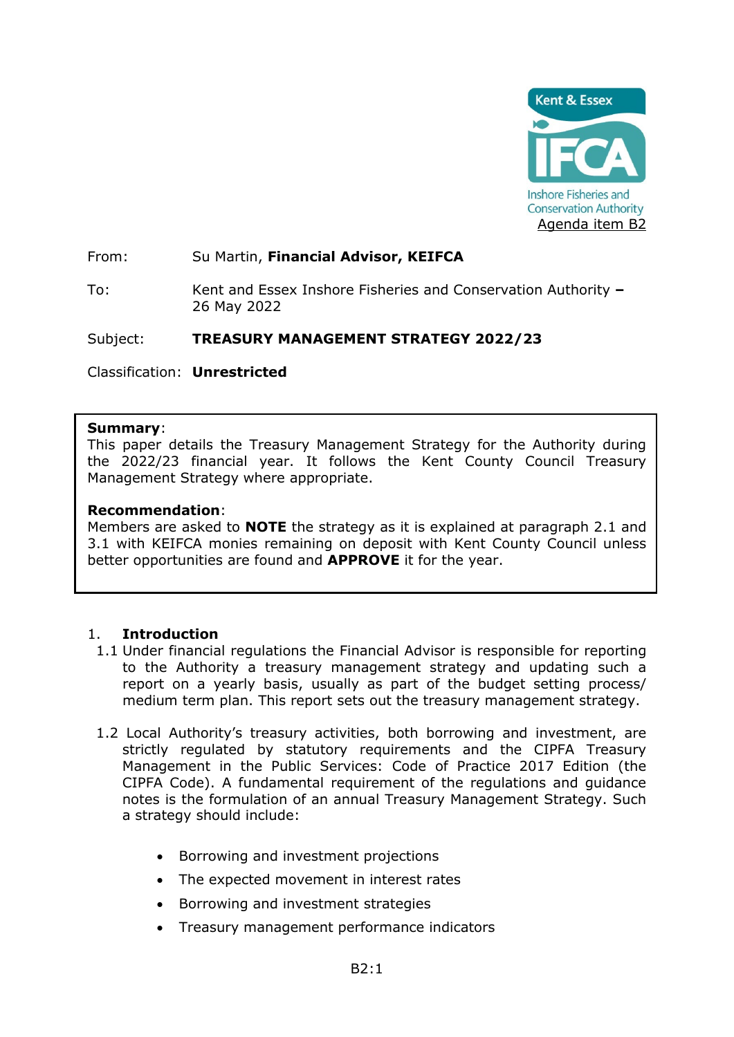

From: Su Martin, **Financial Advisor, KEIFCA**

To: Kent and Essex Inshore Fisheries and Conservation Authority **–** 26 May 2022

Subject: **TREASURY MANAGEMENT STRATEGY 2022/23**

Classification: **Unrestricted**

## **Summary**:

This paper details the Treasury Management Strategy for the Authority during the 2022/23 financial year. It follows the Kent County Council Treasury Management Strategy where appropriate.

## **Recommendation**:

Members are asked to **NOTE** the strategy as it is explained at paragraph 2.1 and 3.1 with KEIFCA monies remaining on deposit with Kent County Council unless better opportunities are found and **APPROVE** it for the year.

## 1. **Introduction**

- 1.1 Under financial regulations the Financial Advisor is responsible for reporting to the Authority a treasury management strategy and updating such a report on a yearly basis, usually as part of the budget setting process/ medium term plan. This report sets out the treasury management strategy.
- 1.2 Local Authority's treasury activities, both borrowing and investment, are strictly regulated by statutory requirements and the CIPFA Treasury Management in the Public Services: Code of Practice 2017 Edition (the CIPFA Code). A fundamental requirement of the regulations and guidance notes is the formulation of an annual Treasury Management Strategy. Such a strategy should include:
	- Borrowing and investment projections
	- The expected movement in interest rates
	- Borrowing and investment strategies
	- Treasury management performance indicators